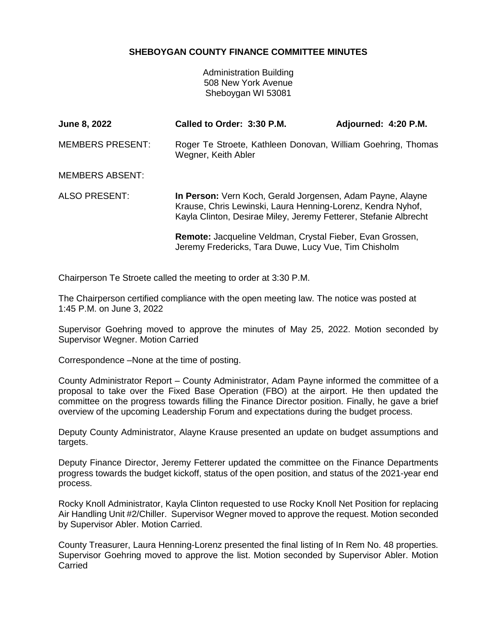## **SHEBOYGAN COUNTY FINANCE COMMITTEE MINUTES**

Administration Building 508 New York Avenue Sheboygan WI 53081

| <b>June 8, 2022</b>     | Called to Order: 3:30 P.M.                                                                                                                                                                    | Adjourned: 4:20 P.M. |
|-------------------------|-----------------------------------------------------------------------------------------------------------------------------------------------------------------------------------------------|----------------------|
| <b>MEMBERS PRESENT:</b> | Roger Te Stroete, Kathleen Donovan, William Goehring, Thomas<br>Wegner, Keith Abler                                                                                                           |                      |
| <b>MEMBERS ABSENT:</b>  |                                                                                                                                                                                               |                      |
| ALSO PRESENT:           | In Person: Vern Koch, Gerald Jorgensen, Adam Payne, Alayne<br>Krause, Chris Lewinski, Laura Henning-Lorenz, Kendra Nyhof,<br>Kayla Clinton, Desirae Miley, Jeremy Fetterer, Stefanie Albrecht |                      |
|                         | Remote: Jacqueline Veldman, Crystal Fieber, Evan Grossen,<br>Jeremy Fredericks, Tara Duwe, Lucy Vue, Tim Chisholm                                                                             |                      |

Chairperson Te Stroete called the meeting to order at 3:30 P.M.

The Chairperson certified compliance with the open meeting law. The notice was posted at 1:45 P.M. on June 3, 2022

Supervisor Goehring moved to approve the minutes of May 25, 2022. Motion seconded by Supervisor Wegner. Motion Carried

Correspondence –None at the time of posting.

County Administrator Report – County Administrator, Adam Payne informed the committee of a proposal to take over the Fixed Base Operation (FBO) at the airport. He then updated the committee on the progress towards filling the Finance Director position. Finally, he gave a brief overview of the upcoming Leadership Forum and expectations during the budget process.

Deputy County Administrator, Alayne Krause presented an update on budget assumptions and targets.

Deputy Finance Director, Jeremy Fetterer updated the committee on the Finance Departments progress towards the budget kickoff, status of the open position, and status of the 2021-year end process.

Rocky Knoll Administrator, Kayla Clinton requested to use Rocky Knoll Net Position for replacing Air Handling Unit #2/Chiller. Supervisor Wegner moved to approve the request. Motion seconded by Supervisor Abler. Motion Carried.

County Treasurer, Laura Henning-Lorenz presented the final listing of In Rem No. 48 properties. Supervisor Goehring moved to approve the list. Motion seconded by Supervisor Abler. Motion **Carried**